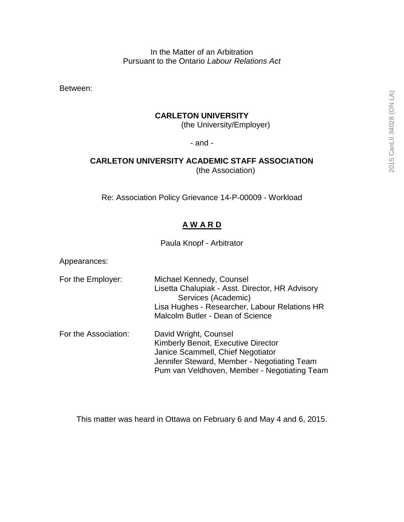In the Matter of an Arbitration Pursuant to the Ontario *Labour Relations Act*

Between:

#### **CARLETON UNIVERSITY**

(the University/Employer)

- and -

# **CARLETON UNIVERSITY ACADEMIC STAFF ASSOCIATION**

(the Association)

Re: Association Policy Grievance 14-P-00009 - Workload

## **A W A R D**

Paula Knopf - Arbitrator

Appearances:

- For the Employer: Michael Kennedy, Counsel Lisetta Chalupiak - Asst. Director, HR Advisory Services (Academic) Lisa Hughes - Researcher, Labour Relations HR Malcolm Butler - Dean of Science For the Association: David Wright, Counsel Kimberly Benoit, Executive Director
	- Janice Scammell, Chief Negotiator Jennifer Steward, Member - Negotiating Team Pum van Veldhoven, Member - Negotiating Team

This matter was heard in Ottawa on February 6 and May 4 and 6, 2015.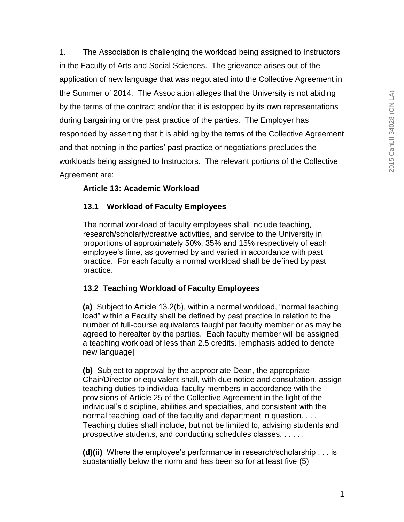1. The Association is challenging the workload being assigned to Instructors in the Faculty of Arts and Social Sciences. The grievance arises out of the application of new language that was negotiated into the Collective Agreement in the Summer of 2014. The Association alleges that the University is not abiding by the terms of the contract and/or that it is estopped by its own representations during bargaining or the past practice of the parties. The Employer has responded by asserting that it is abiding by the terms of the Collective Agreement and that nothing in the parties' past practice or negotiations precludes the workloads being assigned to Instructors. The relevant portions of the Collective Agreement are:

# **Article 13: Academic Workload**

# **13.1 Workload of Faculty Employees**

The normal workload of faculty employees shall include teaching, research/scholarly/creative activities, and service to the University in proportions of approximately 50%, 35% and 15% respectively of each employee"s time, as governed by and varied in accordance with past practice. For each faculty a normal workload shall be defined by past practice.

# **13.2 Teaching Workload of Faculty Employees**

**(a)** Subject to Article 13.2(b), within a normal workload, "normal teaching load" within a Faculty shall be defined by past practice in relation to the number of full-course equivalents taught per faculty member or as may be agreed to hereafter by the parties. Each faculty member will be assigned a teaching workload of less than 2.5 credits. [emphasis added to denote new language]

**(b)** Subject to approval by the appropriate Dean, the appropriate Chair/Director or equivalent shall, with due notice and consultation, assign teaching duties to individual faculty members in accordance with the provisions of Article 25 of the Collective Agreement in the light of the individual"s discipline, abilities and specialties, and consistent with the normal teaching load of the faculty and department in question. . . . Teaching duties shall include, but not be limited to, advising students and prospective students, and conducting schedules classes. . . . . .

**(d)(ii)** Where the employee"s performance in research/scholarship . . . is substantially below the norm and has been so for at least five (5)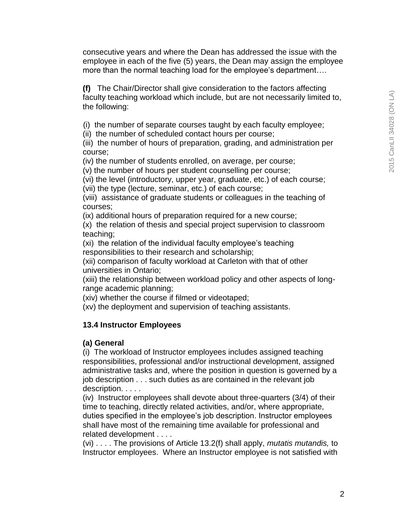consecutive years and where the Dean has addressed the issue with the employee in each of the five (5) years, the Dean may assign the employee more than the normal teaching load for the employee's department....

**(f)** The Chair/Director shall give consideration to the factors affecting faculty teaching workload which include, but are not necessarily limited to, the following:

(i) the number of separate courses taught by each faculty employee;

(ii) the number of scheduled contact hours per course;

(iii) the number of hours of preparation, grading, and administration per course;

(iv) the number of students enrolled, on average, per course;

(v) the number of hours per student counselling per course;

(vi) the level (introductory, upper year, graduate, etc.) of each course;

(vii) the type (lecture, seminar, etc.) of each course;

(viii) assistance of graduate students or colleagues in the teaching of courses;

(ix) additional hours of preparation required for a new course;

(x) the relation of thesis and special project supervision to classroom teaching;

(xi) the relation of the individual faculty employee"s teaching responsibilities to their research and scholarship;

(xii) comparison of faculty workload at Carleton with that of other universities in Ontario;

(xiii) the relationship between workload policy and other aspects of longrange academic planning;

(xiv) whether the course if filmed or videotaped;

(xv) the deployment and supervision of teaching assistants.

#### **13.4 Instructor Employees**

#### **(a) General**

(i) The workload of Instructor employees includes assigned teaching responsibilities, professional and/or instructional development, assigned administrative tasks and, where the position in question is governed by a job description . . . such duties as are contained in the relevant job description. . . . .

(iv) Instructor employees shall devote about three-quarters (3/4) of their time to teaching, directly related activities, and/or, where appropriate, duties specified in the employee's job description. Instructor employees shall have most of the remaining time available for professional and related development . . . .

(vi) . . . . The provisions of Article 13.2(f) shall apply, *mutatis mutandis,* to Instructor employees. Where an Instructor employee is not satisfied with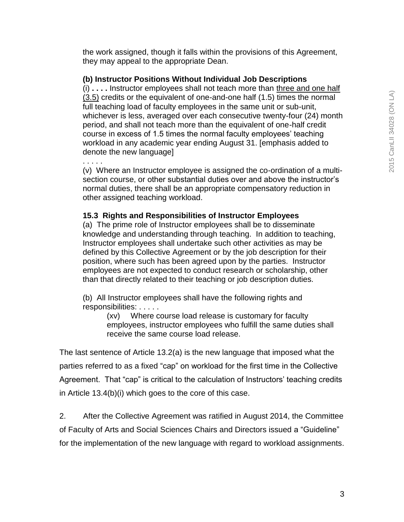the work assigned, though it falls within the provisions of this Agreement, they may appeal to the appropriate Dean.

## **(b) Instructor Positions Without Individual Job Descriptions**

(i) **. . . .** Instructor employees shall not teach more than three and one half (3.5) credits or the equivalent of one-and-one half (1.5) times the normal full teaching load of faculty employees in the same unit or sub-unit, whichever is less, averaged over each consecutive twenty-four (24) month period, and shall not teach more than the equivalent of one-half credit course in excess of 1.5 times the normal faculty employees' teaching workload in any academic year ending August 31. [emphasis added to denote the new language]

. . . . . (v) Where an Instructor employee is assigned the co-ordination of a multisection course, or other substantial duties over and above the instructor's normal duties, there shall be an appropriate compensatory reduction in other assigned teaching workload.

## **15.3 Rights and Responsibilities of Instructor Employees**

(a) The prime role of Instructor employees shall be to disseminate knowledge and understanding through teaching. In addition to teaching, Instructor employees shall undertake such other activities as may be defined by this Collective Agreement or by the job description for their position, where such has been agreed upon by the parties. Instructor employees are not expected to conduct research or scholarship, other than that directly related to their teaching or job description duties.

(b) All Instructor employees shall have the following rights and responsibilities: . . . . .

(xv) Where course load release is customary for faculty employees, instructor employees who fulfill the same duties shall receive the same course load release.

The last sentence of Article 13.2(a) is the new language that imposed what the parties referred to as a fixed "cap" on workload for the first time in the Collective Agreement. That "cap" is critical to the calculation of Instructors' teaching credits in Article 13.4(b)(i) which goes to the core of this case.

2. After the Collective Agreement was ratified in August 2014, the Committee of Faculty of Arts and Social Sciences Chairs and Directors issued a "Guideline" for the implementation of the new language with regard to workload assignments.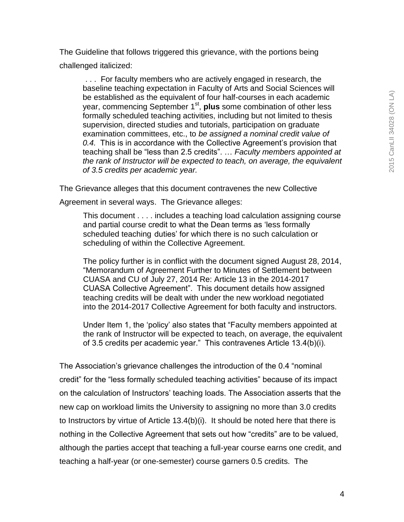The Guideline that follows triggered this grievance, with the portions being challenged italicized:

. . . For faculty members who are actively engaged in research, the baseline teaching expectation in Faculty of Arts and Social Sciences will be established as the equivalent of four half-courses in each academic year, commencing September 1<sup>st</sup>, **plus** some combination of other less formally scheduled teaching activities, including but not limited to thesis supervision, directed studies and tutorials, participation on graduate examination committees, etc., to *be assigned a nominal credit value of 0.4.* This is in accordance with the Collective Agreement"s provision that teaching shall be "less than 2.5 credits". … *Faculty members appointed at the rank of Instructor will be expected to teach, on average, the equivalent of 3.5 credits per academic year.*

The Grievance alleges that this document contravenes the new Collective

Agreement in several ways. The Grievance alleges:

This document . . . . includes a teaching load calculation assigning course and partial course credit to what the Dean terms as "less formally scheduled teaching duties' for which there is no such calculation or scheduling of within the Collective Agreement.

The policy further is in conflict with the document signed August 28, 2014, "Memorandum of Agreement Further to Minutes of Settlement between CUASA and CU of July 27, 2014 Re: Article 13 in the 2014-2017 CUASA Collective Agreement". This document details how assigned teaching credits will be dealt with under the new workload negotiated into the 2014-2017 Collective Agreement for both faculty and instructors.

Under Item 1, the "policy" also states that "Faculty members appointed at the rank of Instructor will be expected to teach, on average, the equivalent of 3.5 credits per academic year." This contravenes Article 13.4(b)(i).

The Association"s grievance challenges the introduction of the 0.4 "nominal credit" for the "less formally scheduled teaching activities" because of its impact on the calculation of Instructors" teaching loads. The Association asserts that the new cap on workload limits the University to assigning no more than 3.0 credits to Instructors by virtue of Article 13.4(b)(i). It should be noted here that there is nothing in the Collective Agreement that sets out how "credits" are to be valued, although the parties accept that teaching a full-year course earns one credit, and teaching a half-year (or one-semester) course garners 0.5 credits. The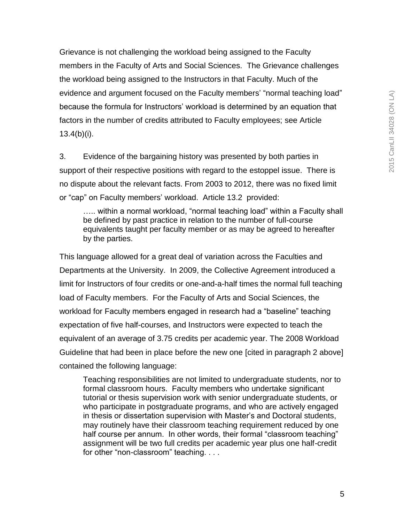Grievance is not challenging the workload being assigned to the Faculty members in the Faculty of Arts and Social Sciences. The Grievance challenges the workload being assigned to the Instructors in that Faculty. Much of the evidence and argument focused on the Faculty members' "normal teaching load" because the formula for Instructors" workload is determined by an equation that factors in the number of credits attributed to Faculty employees; see Article 13.4(b)(i).

3. Evidence of the bargaining history was presented by both parties in support of their respective positions with regard to the estoppel issue. There is no dispute about the relevant facts. From 2003 to 2012, there was no fixed limit or "cap" on Faculty members" workload. Article 13.2 provided:

..... within a normal workload, "normal teaching load" within a Faculty shall be defined by past practice in relation to the number of full-course equivalents taught per faculty member or as may be agreed to hereafter by the parties.

This language allowed for a great deal of variation across the Faculties and Departments at the University. In 2009, the Collective Agreement introduced a limit for Instructors of four credits or one-and-a-half times the normal full teaching load of Faculty members. For the Faculty of Arts and Social Sciences, the workload for Faculty members engaged in research had a "baseline" teaching expectation of five half-courses, and Instructors were expected to teach the equivalent of an average of 3.75 credits per academic year. The 2008 Workload Guideline that had been in place before the new one [cited in paragraph 2 above] contained the following language:

Teaching responsibilities are not limited to undergraduate students, nor to formal classroom hours. Faculty members who undertake significant tutorial or thesis supervision work with senior undergraduate students, or who participate in postgraduate programs, and who are actively engaged in thesis or dissertation supervision with Master"s and Doctoral students, may routinely have their classroom teaching requirement reduced by one half course per annum. In other words, their formal "classroom teaching" assignment will be two full credits per academic year plus one half-credit for other "non-classroom" teaching. . . .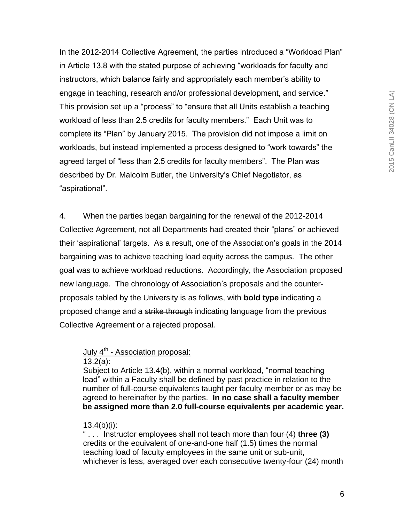In the 2012-2014 Collective Agreement, the parties introduced a "Workload Plan" in Article 13.8 with the stated purpose of achieving "workloads for faculty and instructors, which balance fairly and appropriately each member"s ability to engage in teaching, research and/or professional development, and service." This provision set up a "process" to "ensure that all Units establish a teaching workload of less than 2.5 credits for faculty members." Each Unit was to complete its "Plan" by January 2015. The provision did not impose a limit on workloads, but instead implemented a process designed to "work towards" the agreed target of "less than 2.5 credits for faculty members". The Plan was described by Dr. Malcolm Butler, the University"s Chief Negotiator, as "aspirational".

4. When the parties began bargaining for the renewal of the 2012-2014 Collective Agreement, not all Departments had created their "plans" or achieved their "aspirational" targets. As a result, one of the Association"s goals in the 2014 bargaining was to achieve teaching load equity across the campus. The other goal was to achieve workload reductions. Accordingly, the Association proposed new language. The chronology of Association"s proposals and the counterproposals tabled by the University is as follows, with **bold type** indicating a proposed change and a strike through indicating language from the previous Collective Agreement or a rejected proposal*.*

# July 4<sup>th</sup> - Association proposal:

13.2(a):

Subject to Article 13.4(b), within a normal workload, "normal teaching load" within a Faculty shall be defined by past practice in relation to the number of full-course equivalents taught per faculty member or as may be agreed to hereinafter by the parties. **In no case shall a faculty member be assigned more than 2.0 full-course equivalents per academic year.**

# $13.4(b)(i)$ :

" . . . Instructor employees shall not teach more than four (4) **three (3)**  credits or the equivalent of one-and-one half (1.5) times the normal teaching load of faculty employees in the same unit or sub-unit, whichever is less, averaged over each consecutive twenty-four (24) month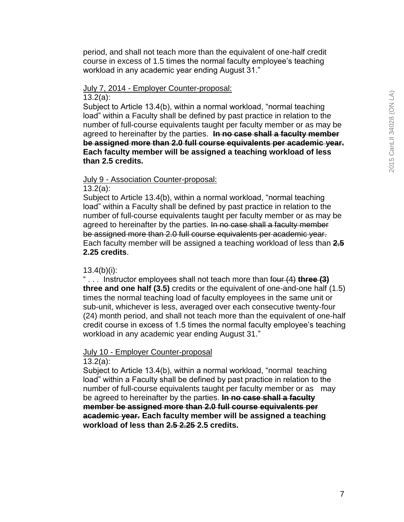period, and shall not teach more than the equivalent of one-half credit course in excess of 1.5 times the normal faculty employee"s teaching workload in any academic year ending August 31."

#### July 7, 2014 - Employer Counter-proposal: 13.2(a):

Subject to Article 13.4(b), within a normal workload, "normal teaching load" within a Faculty shall be defined by past practice in relation to the number of full-course equivalents taught per faculty member or as may be agreed to hereinafter by the parties. **In no case shall a faculty member be assigned more than 2.0 full course equivalents per academic year. Each faculty member will be assigned a teaching workload of less than 2.5 credits.**

## July 9 - Association Counter-proposal:

13.2(a):

Subject to Article 13.4(b), within a normal workload, "normal teaching load" within a Faculty shall be defined by past practice in relation to the number of full-course equivalents taught per faculty member or as may be agreed to hereinafter by the parties. In no case shall a faculty member be assigned more than 2.0 full course equivalents per academic year. Each faculty member will be assigned a teaching workload of less than **2.5 2.25 credits**.

## $13.4(b)(i)$ :

" . . . Instructor employees shall not teach more than four (4) **three (3) three and one half (3.5)** credits or the equivalent of one-and-one half (1.5) times the normal teaching load of faculty employees in the same unit or sub-unit, whichever is less, averaged over each consecutive twenty-four (24) month period, and shall not teach more than the equivalent of one-half credit course in excess of 1.5 times the normal faculty employee"s teaching workload in any academic year ending August 31."

#### July 10 - Employer Counter-proposal 13.2(a):

Subject to Article 13.4(b), within a normal workload, "normal teaching load" within a Faculty shall be defined by past practice in relation to the number of full-course equivalents taught per faculty member or as may be agreed to hereinafter by the parties. **In no case shall a faculty member be assigned more than 2.0 full course equivalents per academic year. Each faculty member will be assigned a teaching workload of less than 2.5 2.25 2.5 credits.**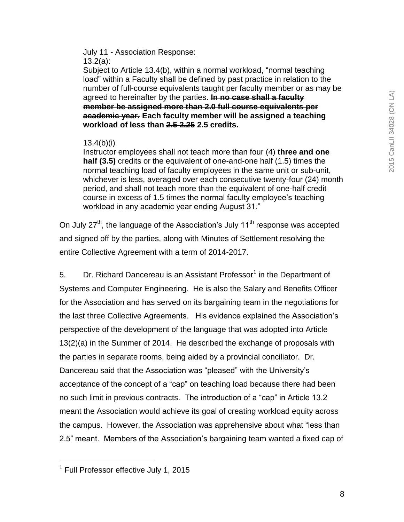# July 11 - Association Response:

#### 13.2(a):

Subject to Article 13.4(b), within a normal workload, "normal teaching load" within a Faculty shall be defined by past practice in relation to the number of full-course equivalents taught per faculty member or as may be agreed to hereinafter by the parties. **In no case shall a faculty member be assigned more than 2.0 full course equivalents per academic year. Each faculty member will be assigned a teaching workload of less than 2.5 2.25 2.5 credits.**

## 13.4(b)(i)

Instructor employees shall not teach more than four (4) **three and one half (3.5)** credits or the equivalent of one-and-one half (1.5) times the normal teaching load of faculty employees in the same unit or sub-unit, whichever is less, averaged over each consecutive twenty-four (24) month period, and shall not teach more than the equivalent of one-half credit course in excess of 1.5 times the normal faculty employee"s teaching workload in any academic year ending August 31."

On July  $27<sup>th</sup>$ , the language of the Association's July 11<sup>th</sup> response was accepted and signed off by the parties, along with Minutes of Settlement resolving the entire Collective Agreement with a term of 2014-2017.

5. Dr. Richard Dancereau is an Assistant Professor<sup>1</sup> in the Department of Systems and Computer Engineering. He is also the Salary and Benefits Officer for the Association and has served on its bargaining team in the negotiations for the last three Collective Agreements. His evidence explained the Association"s perspective of the development of the language that was adopted into Article 13(2)(a) in the Summer of 2014. He described the exchange of proposals with the parties in separate rooms, being aided by a provincial conciliator. Dr. Dancereau said that the Association was "pleased" with the University"s acceptance of the concept of a "cap" on teaching load because there had been no such limit in previous contracts. The introduction of a "cap" in Article 13.2 meant the Association would achieve its goal of creating workload equity across the campus. However, the Association was apprehensive about what "less than 2.5" meant. Members of the Association"s bargaining team wanted a fixed cap of

 1 Full Professor effective July 1, 2015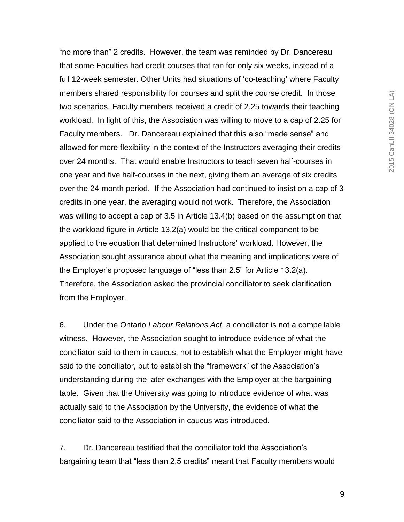"no more than" 2 credits. However, the team was reminded by Dr. Dancereau that some Faculties had credit courses that ran for only six weeks, instead of a full 12-week semester. Other Units had situations of "co-teaching" where Faculty members shared responsibility for courses and split the course credit. In those two scenarios, Faculty members received a credit of 2.25 towards their teaching workload. In light of this, the Association was willing to move to a cap of 2.25 for Faculty members. Dr. Dancereau explained that this also "made sense" and allowed for more flexibility in the context of the Instructors averaging their credits over 24 months. That would enable Instructors to teach seven half-courses in one year and five half-courses in the next, giving them an average of six credits over the 24-month period. If the Association had continued to insist on a cap of 3 credits in one year, the averaging would not work. Therefore, the Association was willing to accept a cap of 3.5 in Article 13.4(b) based on the assumption that the workload figure in Article 13.2(a) would be the critical component to be applied to the equation that determined Instructors" workload. However, the Association sought assurance about what the meaning and implications were of the Employer"s proposed language of "less than 2.5" for Article 13.2(a). Therefore, the Association asked the provincial conciliator to seek clarification from the Employer.

6. Under the Ontario *Labour Relations Act*, a conciliator is not a compellable witness. However, the Association sought to introduce evidence of what the conciliator said to them in caucus, not to establish what the Employer might have said to the conciliator, but to establish the "framework" of the Association"s understanding during the later exchanges with the Employer at the bargaining table. Given that the University was going to introduce evidence of what was actually said to the Association by the University, the evidence of what the conciliator said to the Association in caucus was introduced.

7. Dr. Dancereau testified that the conciliator told the Association"s bargaining team that "less than 2.5 credits" meant that Faculty members would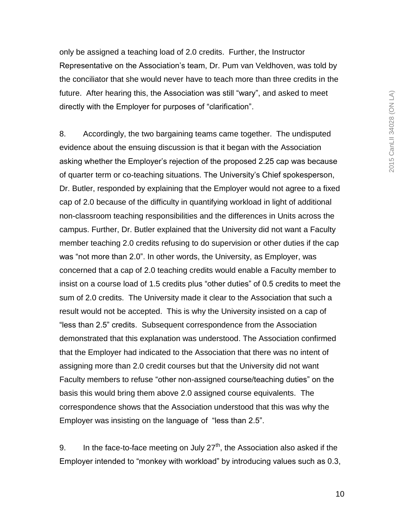only be assigned a teaching load of 2.0 credits. Further, the Instructor Representative on the Association"s team, Dr. Pum van Veldhoven, was told by the conciliator that she would never have to teach more than three credits in the future. After hearing this, the Association was still "wary", and asked to meet directly with the Employer for purposes of "clarification".

8. Accordingly, the two bargaining teams came together. The undisputed evidence about the ensuing discussion is that it began with the Association asking whether the Employer"s rejection of the proposed 2.25 cap was because of quarter term or co-teaching situations. The University"s Chief spokesperson, Dr. Butler, responded by explaining that the Employer would not agree to a fixed cap of 2.0 because of the difficulty in quantifying workload in light of additional non-classroom teaching responsibilities and the differences in Units across the campus. Further, Dr. Butler explained that the University did not want a Faculty member teaching 2.0 credits refusing to do supervision or other duties if the cap was "not more than 2.0". In other words, the University, as Employer, was concerned that a cap of 2.0 teaching credits would enable a Faculty member to insist on a course load of 1.5 credits plus "other duties" of 0.5 credits to meet the sum of 2.0 credits. The University made it clear to the Association that such a result would not be accepted. This is why the University insisted on a cap of "less than 2.5" credits. Subsequent correspondence from the Association demonstrated that this explanation was understood. The Association confirmed that the Employer had indicated to the Association that there was no intent of assigning more than 2.0 credit courses but that the University did not want Faculty members to refuse "other non-assigned course/teaching duties" on the basis this would bring them above 2.0 assigned course equivalents. The correspondence shows that the Association understood that this was why the Employer was insisting on the language of "less than 2.5".

9. In the face-to-face meeting on July  $27<sup>th</sup>$ , the Association also asked if the Employer intended to "monkey with workload" by introducing values such as 0.3,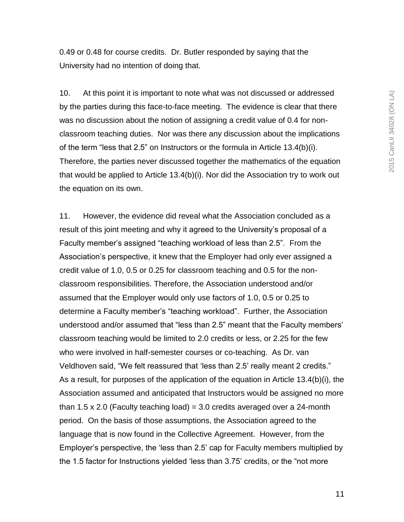0.49 or 0.48 for course credits. Dr. Butler responded by saying that the University had no intention of doing that.

10. At this point it is important to note what was not discussed or addressed by the parties during this face-to-face meeting. The evidence is clear that there was no discussion about the notion of assigning a credit value of 0.4 for nonclassroom teaching duties. Nor was there any discussion about the implications of the term "less that 2.5" on Instructors or the formula in Article 13.4(b)(i). Therefore, the parties never discussed together the mathematics of the equation that would be applied to Article 13.4(b)(i). Nor did the Association try to work out the equation on its own.

11. However, the evidence did reveal what the Association concluded as a result of this joint meeting and why it agreed to the University"s proposal of a Faculty member"s assigned "teaching workload of less than 2.5". From the Association"s perspective, it knew that the Employer had only ever assigned a credit value of 1.0, 0.5 or 0.25 for classroom teaching and 0.5 for the nonclassroom responsibilities. Therefore, the Association understood and/or assumed that the Employer would only use factors of 1.0, 0.5 or 0.25 to determine a Faculty member"s "teaching workload". Further, the Association understood and/or assumed that "less than 2.5" meant that the Faculty members" classroom teaching would be limited to 2.0 credits or less, or 2.25 for the few who were involved in half-semester courses or co-teaching. As Dr. van Veldhoven said, "We felt reassured that "less than 2.5" really meant 2 credits." As a result, for purposes of the application of the equation in Article 13.4(b)(i), the Association assumed and anticipated that Instructors would be assigned no more than 1.5 x 2.0 (Faculty teaching load) = 3.0 credits averaged over a 24-month period. On the basis of those assumptions, the Association agreed to the language that is now found in the Collective Agreement. However, from the Employer"s perspective, the "less than 2.5" cap for Faculty members multiplied by the 1.5 factor for Instructions yielded "less than 3.75" credits, or the "not more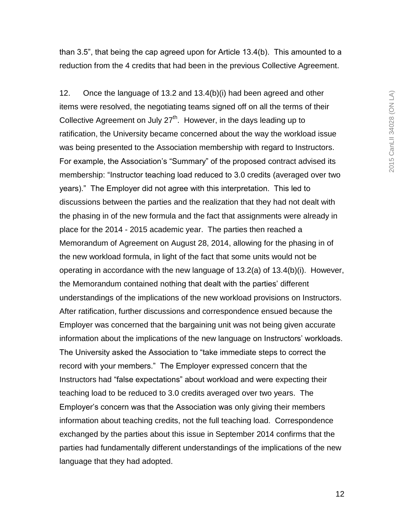than 3.5", that being the cap agreed upon for Article 13.4(b). This amounted to a reduction from the 4 credits that had been in the previous Collective Agreement.

12. Once the language of 13.2 and 13.4(b)(i) had been agreed and other items were resolved, the negotiating teams signed off on all the terms of their Collective Agreement on July  $27<sup>th</sup>$ . However, in the days leading up to ratification, the University became concerned about the way the workload issue was being presented to the Association membership with regard to Instructors. For example, the Association's "Summary" of the proposed contract advised its membership: "Instructor teaching load reduced to 3.0 credits (averaged over two years)." The Employer did not agree with this interpretation. This led to discussions between the parties and the realization that they had not dealt with the phasing in of the new formula and the fact that assignments were already in place for the 2014 - 2015 academic year. The parties then reached a Memorandum of Agreement on August 28, 2014, allowing for the phasing in of the new workload formula, in light of the fact that some units would not be operating in accordance with the new language of 13.2(a) of 13.4(b)(i). However, the Memorandum contained nothing that dealt with the parties' different understandings of the implications of the new workload provisions on Instructors. After ratification, further discussions and correspondence ensued because the Employer was concerned that the bargaining unit was not being given accurate information about the implications of the new language on Instructors' workloads. The University asked the Association to "take immediate steps to correct the record with your members." The Employer expressed concern that the Instructors had "false expectations" about workload and were expecting their teaching load to be reduced to 3.0 credits averaged over two years. The Employer"s concern was that the Association was only giving their members information about teaching credits, not the full teaching load. Correspondence exchanged by the parties about this issue in September 2014 confirms that the parties had fundamentally different understandings of the implications of the new language that they had adopted.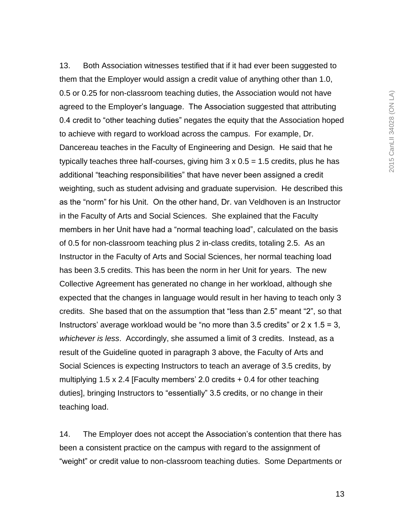13. Both Association witnesses testified that if it had ever been suggested to them that the Employer would assign a credit value of anything other than 1.0, 0.5 or 0.25 for non-classroom teaching duties, the Association would not have agreed to the Employer"s language. The Association suggested that attributing 0.4 credit to "other teaching duties" negates the equity that the Association hoped to achieve with regard to workload across the campus. For example, Dr. Dancereau teaches in the Faculty of Engineering and Design. He said that he typically teaches three half-courses, giving him  $3 \times 0.5 = 1.5$  credits, plus he has additional "teaching responsibilities" that have never been assigned a credit weighting, such as student advising and graduate supervision. He described this as the "norm" for his Unit. On the other hand, Dr. van Veldhoven is an Instructor in the Faculty of Arts and Social Sciences. She explained that the Faculty members in her Unit have had a "normal teaching load", calculated on the basis of 0.5 for non-classroom teaching plus 2 in-class credits, totaling 2.5. As an Instructor in the Faculty of Arts and Social Sciences, her normal teaching load has been 3.5 credits. This has been the norm in her Unit for years. The new Collective Agreement has generated no change in her workload, although she expected that the changes in language would result in her having to teach only 3 credits. She based that on the assumption that "less than 2.5" meant "2", so that Instructors' average workload would be "no more than 3.5 credits" or  $2 \times 1.5 = 3$ , *whichever is less*. Accordingly, she assumed a limit of 3 credits. Instead, as a result of the Guideline quoted in paragraph 3 above, the Faculty of Arts and Social Sciences is expecting Instructors to teach an average of 3.5 credits, by multiplying 1.5 x 2.4 [Faculty members' 2.0 credits  $+$  0.4 for other teaching duties], bringing Instructors to "essentially" 3.5 credits, or no change in their teaching load.

14. The Employer does not accept the Association"s contention that there has been a consistent practice on the campus with regard to the assignment of "weight" or credit value to non-classroom teaching duties. Some Departments or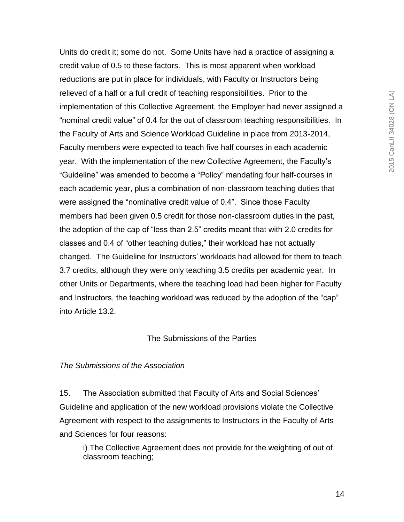2015 CanLII 34028 (ON LA) 2015 CanLII 34028 (ON LA)

credit value of 0.5 to these factors. This is most apparent when workload reductions are put in place for individuals, with Faculty or Instructors being relieved of a half or a full credit of teaching responsibilities. Prior to the implementation of this Collective Agreement, the Employer had never assigned a "nominal credit value" of 0.4 for the out of classroom teaching responsibilities. In the Faculty of Arts and Science Workload Guideline in place from 2013-2014, Faculty members were expected to teach five half courses in each academic year. With the implementation of the new Collective Agreement, the Faculty"s "Guideline" was amended to become a "Policy" mandating four half-courses in each academic year, plus a combination of non-classroom teaching duties that were assigned the "nominative credit value of 0.4". Since those Faculty members had been given 0.5 credit for those non-classroom duties in the past, the adoption of the cap of "less than 2.5" credits meant that with 2.0 credits for classes and 0.4 of "other teaching duties," their workload has not actually changed. The Guideline for Instructors" workloads had allowed for them to teach 3.7 credits, although they were only teaching 3.5 credits per academic year. In other Units or Departments, where the teaching load had been higher for Faculty and Instructors, the teaching workload was reduced by the adoption of the "cap" into Article 13.2.

Units do credit it; some do not. Some Units have had a practice of assigning a

## The Submissions of the Parties

#### *The Submissions of the Association*

15. The Association submitted that Faculty of Arts and Social Sciences" Guideline and application of the new workload provisions violate the Collective Agreement with respect to the assignments to Instructors in the Faculty of Arts and Sciences for four reasons:

i) The Collective Agreement does not provide for the weighting of out of classroom teaching;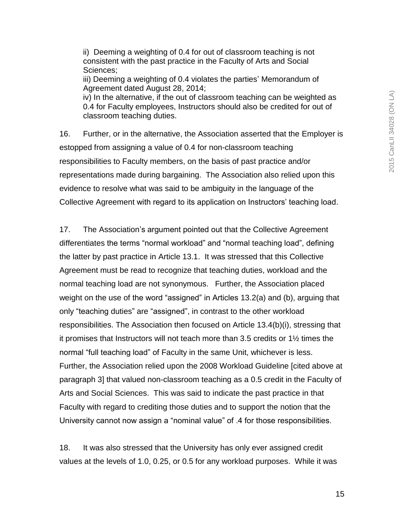ii) Deeming a weighting of 0.4 for out of classroom teaching is not consistent with the past practice in the Faculty of Arts and Social Sciences;

iii) Deeming a weighting of 0.4 violates the parties' Memorandum of Agreement dated August 28, 2014;

iv) In the alternative, if the out of classroom teaching can be weighted as 0.4 for Faculty employees, Instructors should also be credited for out of classroom teaching duties.

16. Further, or in the alternative, the Association asserted that the Employer is estopped from assigning a value of 0.4 for non-classroom teaching responsibilities to Faculty members, on the basis of past practice and/or representations made during bargaining. The Association also relied upon this evidence to resolve what was said to be ambiguity in the language of the Collective Agreement with regard to its application on Instructors' teaching load.

17. The Association"s argument pointed out that the Collective Agreement differentiates the terms "normal workload" and "normal teaching load", defining the latter by past practice in Article 13.1. It was stressed that this Collective Agreement must be read to recognize that teaching duties, workload and the normal teaching load are not synonymous. Further, the Association placed weight on the use of the word "assigned" in Articles 13.2(a) and (b), arguing that only "teaching duties" are "assigned", in contrast to the other workload responsibilities. The Association then focused on Article 13.4(b)(i), stressing that it promises that Instructors will not teach more than 3.5 credits or 1½ times the normal "full teaching load" of Faculty in the same Unit, whichever is less. Further, the Association relied upon the 2008 Workload Guideline [cited above at paragraph 3] that valued non-classroom teaching as a 0.5 credit in the Faculty of Arts and Social Sciences. This was said to indicate the past practice in that Faculty with regard to crediting those duties and to support the notion that the University cannot now assign a "nominal value" of .4 for those responsibilities.

18. It was also stressed that the University has only ever assigned credit values at the levels of 1.0, 0.25, or 0.5 for any workload purposes. While it was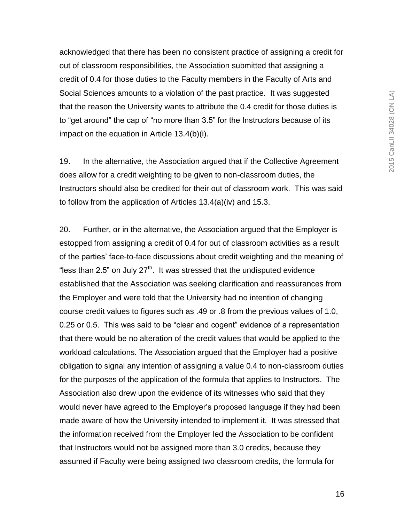acknowledged that there has been no consistent practice of assigning a credit for out of classroom responsibilities, the Association submitted that assigning a credit of 0.4 for those duties to the Faculty members in the Faculty of Arts and Social Sciences amounts to a violation of the past practice. It was suggested that the reason the University wants to attribute the 0.4 credit for those duties is to "get around" the cap of "no more than 3.5" for the Instructors because of its impact on the equation in Article 13.4(b)(i).

19. In the alternative, the Association argued that if the Collective Agreement does allow for a credit weighting to be given to non-classroom duties, the Instructors should also be credited for their out of classroom work. This was said to follow from the application of Articles 13.4(a)(iv) and 15.3.

20. Further, or in the alternative, the Association argued that the Employer is estopped from assigning a credit of 0.4 for out of classroom activities as a result of the parties" face-to-face discussions about credit weighting and the meaning of "less than 2.5" on July 27<sup>th</sup>. It was stressed that the undisputed evidence established that the Association was seeking clarification and reassurances from the Employer and were told that the University had no intention of changing course credit values to figures such as .49 or .8 from the previous values of 1.0, 0.25 or 0.5. This was said to be "clear and cogent" evidence of a representation that there would be no alteration of the credit values that would be applied to the workload calculations. The Association argued that the Employer had a positive obligation to signal any intention of assigning a value 0.4 to non-classroom duties for the purposes of the application of the formula that applies to Instructors. The Association also drew upon the evidence of its witnesses who said that they would never have agreed to the Employer"s proposed language if they had been made aware of how the University intended to implement it. It was stressed that the information received from the Employer led the Association to be confident that Instructors would not be assigned more than 3.0 credits, because they assumed if Faculty were being assigned two classroom credits, the formula for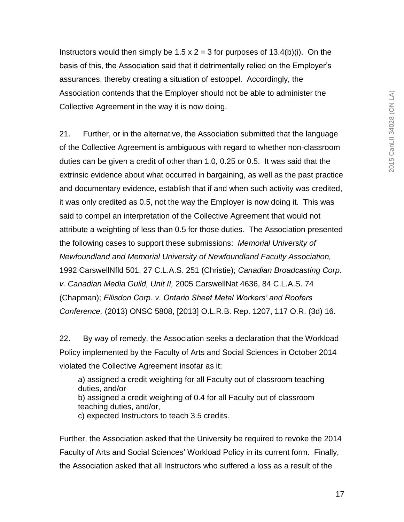Instructors would then simply be 1.5 x  $2 = 3$  for purposes of 13.4(b)(i). On the basis of this, the Association said that it detrimentally relied on the Employer"s assurances, thereby creating a situation of estoppel. Accordingly, the Association contends that the Employer should not be able to administer the Collective Agreement in the way it is now doing.

21. Further, or in the alternative, the Association submitted that the language of the Collective Agreement is ambiguous with regard to whether non-classroom duties can be given a credit of other than 1.0, 0.25 or 0.5. It was said that the extrinsic evidence about what occurred in bargaining, as well as the past practice and documentary evidence, establish that if and when such activity was credited, it was only credited as 0.5, not the way the Employer is now doing it. This was said to compel an interpretation of the Collective Agreement that would not attribute a weighting of less than 0.5 for those duties. The Association presented the following cases to support these submissions: *Memorial University of Newfoundland and Memorial University of Newfoundland Faculty Association,*  1992 CarswellNfld 501, 27 C.L.A.S. 251 (Christie); *Canadian Broadcasting Corp. v. Canadian Media Guild, Unit II,* 2005 CarswellNat 4636, 84 C.L.A.S. 74 (Chapman); *Ellisdon Corp. v. Ontario Sheet Metal Workers' and Roofers Conference,* (2013) ONSC 5808, [2013] O.L.R.B. Rep. 1207, 117 O.R. (3d) 16.

22. By way of remedy, the Association seeks a declaration that the Workload Policy implemented by the Faculty of Arts and Social Sciences in October 2014 violated the Collective Agreement insofar as it:

a) assigned a credit weighting for all Faculty out of classroom teaching duties, and/or b) assigned a credit weighting of 0.4 for all Faculty out of classroom teaching duties, and/or,

c) expected Instructors to teach 3.5 credits.

Further, the Association asked that the University be required to revoke the 2014 Faculty of Arts and Social Sciences' Workload Policy in its current form. Finally, the Association asked that all Instructors who suffered a loss as a result of the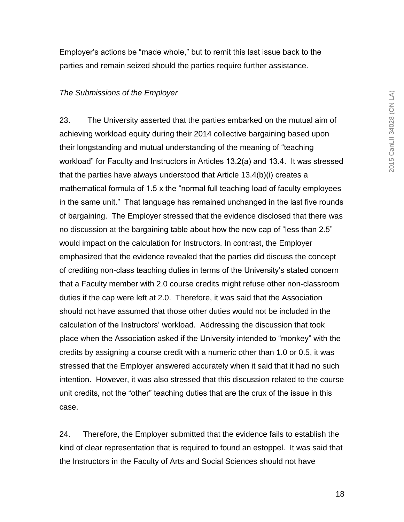Employer"s actions be "made whole," but to remit this last issue back to the parties and remain seized should the parties require further assistance.

#### *The Submissions of the Employer*

23. The University asserted that the parties embarked on the mutual aim of achieving workload equity during their 2014 collective bargaining based upon their longstanding and mutual understanding of the meaning of "teaching workload" for Faculty and Instructors in Articles 13.2(a) and 13.4. It was stressed that the parties have always understood that Article 13.4(b)(i) creates a mathematical formula of 1.5 x the "normal full teaching load of faculty employees in the same unit." That language has remained unchanged in the last five rounds of bargaining. The Employer stressed that the evidence disclosed that there was no discussion at the bargaining table about how the new cap of "less than 2.5" would impact on the calculation for Instructors. In contrast, the Employer emphasized that the evidence revealed that the parties did discuss the concept of crediting non-class teaching duties in terms of the University"s stated concern that a Faculty member with 2.0 course credits might refuse other non-classroom duties if the cap were left at 2.0. Therefore, it was said that the Association should not have assumed that those other duties would not be included in the calculation of the Instructors" workload. Addressing the discussion that took place when the Association asked if the University intended to "monkey" with the credits by assigning a course credit with a numeric other than 1.0 or 0.5, it was stressed that the Employer answered accurately when it said that it had no such intention. However, it was also stressed that this discussion related to the course unit credits, not the "other" teaching duties that are the crux of the issue in this case.

24. Therefore, the Employer submitted that the evidence fails to establish the kind of clear representation that is required to found an estoppel. It was said that the Instructors in the Faculty of Arts and Social Sciences should not have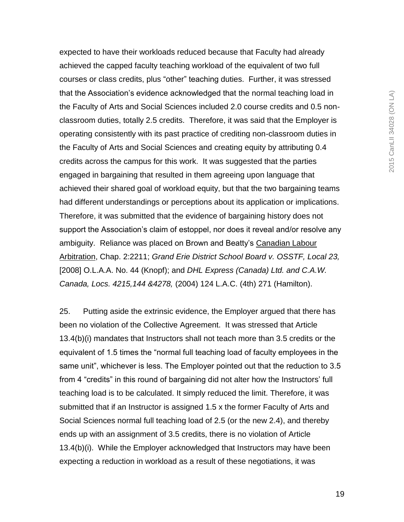expected to have their workloads reduced because that Faculty had already achieved the capped faculty teaching workload of the equivalent of two full courses or class credits, plus "other" teaching duties. Further, it was stressed that the Association"s evidence acknowledged that the normal teaching load in the Faculty of Arts and Social Sciences included 2.0 course credits and 0.5 nonclassroom duties, totally 2.5 credits. Therefore, it was said that the Employer is operating consistently with its past practice of crediting non-classroom duties in the Faculty of Arts and Social Sciences and creating equity by attributing 0.4 credits across the campus for this work. It was suggested that the parties engaged in bargaining that resulted in them agreeing upon language that achieved their shared goal of workload equity, but that the two bargaining teams had different understandings or perceptions about its application or implications. Therefore, it was submitted that the evidence of bargaining history does not support the Association's claim of estoppel, nor does it reveal and/or resolve any ambiguity. Reliance was placed on Brown and Beatty"s Canadian Labour Arbitration, Chap. 2:2211; *Grand Erie District School Board v. OSSTF, Local 23,*  [2008] O.L.A.A. No. 44 (Knopf); and *DHL Express (Canada) Ltd. and C.A.W. Canada, Locs. 4215,144 &4278,* (2004) 124 L.A.C. (4th) 271 (Hamilton).

25. Putting aside the extrinsic evidence, the Employer argued that there has been no violation of the Collective Agreement. It was stressed that Article 13.4(b)(i) mandates that Instructors shall not teach more than 3.5 credits or the equivalent of 1.5 times the "normal full teaching load of faculty employees in the same unit", whichever is less. The Employer pointed out that the reduction to 3.5 from 4 "credits" in this round of bargaining did not alter how the Instructors' full teaching load is to be calculated. It simply reduced the limit. Therefore, it was submitted that if an Instructor is assigned 1.5 x the former Faculty of Arts and Social Sciences normal full teaching load of 2.5 (or the new 2.4), and thereby ends up with an assignment of 3.5 credits, there is no violation of Article 13.4(b)(i). While the Employer acknowledged that Instructors may have been expecting a reduction in workload as a result of these negotiations, it was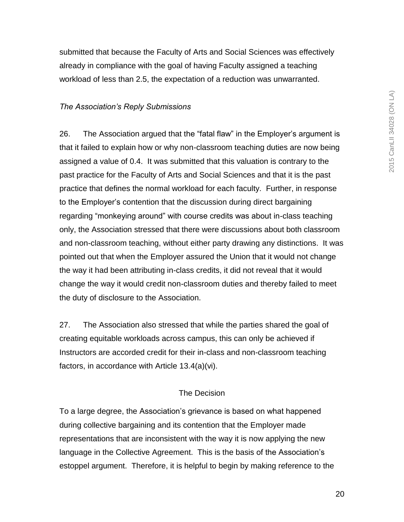submitted that because the Faculty of Arts and Social Sciences was effectively already in compliance with the goal of having Faculty assigned a teaching workload of less than 2.5, the expectation of a reduction was unwarranted.

## *The Association's Reply Submissions*

26. The Association argued that the "fatal flaw" in the Employer"s argument is that it failed to explain how or why non-classroom teaching duties are now being assigned a value of 0.4. It was submitted that this valuation is contrary to the past practice for the Faculty of Arts and Social Sciences and that it is the past practice that defines the normal workload for each faculty. Further, in response to the Employer"s contention that the discussion during direct bargaining regarding "monkeying around" with course credits was about in-class teaching only, the Association stressed that there were discussions about both classroom and non-classroom teaching, without either party drawing any distinctions. It was pointed out that when the Employer assured the Union that it would not change the way it had been attributing in-class credits, it did not reveal that it would change the way it would credit non-classroom duties and thereby failed to meet the duty of disclosure to the Association.

27. The Association also stressed that while the parties shared the goal of creating equitable workloads across campus, this can only be achieved if Instructors are accorded credit for their in-class and non-classroom teaching factors, in accordance with Article 13.4(a)(vi).

## The Decision

To a large degree, the Association"s grievance is based on what happened during collective bargaining and its contention that the Employer made representations that are inconsistent with the way it is now applying the new language in the Collective Agreement. This is the basis of the Association's estoppel argument. Therefore, it is helpful to begin by making reference to the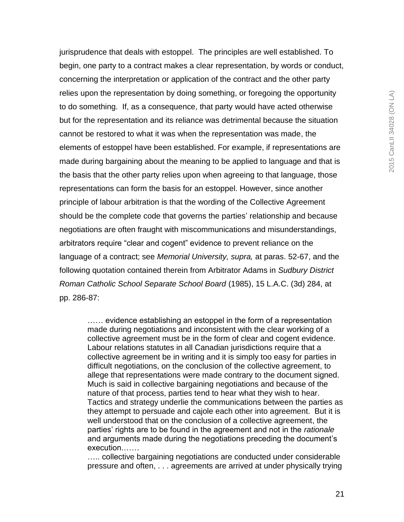jurisprudence that deals with estoppel. The principles are well established. To begin, one party to a contract makes a clear representation, by words or conduct, concerning the interpretation or application of the contract and the other party relies upon the representation by doing something, or foregoing the opportunity to do something. If, as a consequence, that party would have acted otherwise but for the representation and its reliance was detrimental because the situation cannot be restored to what it was when the representation was made, the elements of estoppel have been established. For example, if representations are made during bargaining about the meaning to be applied to language and that is the basis that the other party relies upon when agreeing to that language, those representations can form the basis for an estoppel. However, since another principle of labour arbitration is that the wording of the Collective Agreement should be the complete code that governs the parties' relationship and because negotiations are often fraught with miscommunications and misunderstandings, arbitrators require "clear and cogent" evidence to prevent reliance on the language of a contract; see *Memorial University, supra,* at paras. 52-67, and the following quotation contained therein from Arbitrator Adams in *Sudbury District Roman Catholic School Separate School Board* (1985), 15 L.A.C. (3d) 284, at pp. 286-87:

…… evidence establishing an estoppel in the form of a representation made during negotiations and inconsistent with the clear working of a collective agreement must be in the form of clear and cogent evidence. Labour relations statutes in all Canadian jurisdictions require that a collective agreement be in writing and it is simply too easy for parties in difficult negotiations, on the conclusion of the collective agreement, to allege that representations were made contrary to the document signed. Much is said in collective bargaining negotiations and because of the nature of that process, parties tend to hear what they wish to hear. Tactics and strategy underlie the communications between the parties as they attempt to persuade and cajole each other into agreement. But it is well understood that on the conclusion of a collective agreement, the parties" rights are to be found in the agreement and not in the *rationale*  and arguments made during the negotiations preceding the document"s execution.……

..... collective bargaining negotiations are conducted under considerable pressure and often, . . . agreements are arrived at under physically trying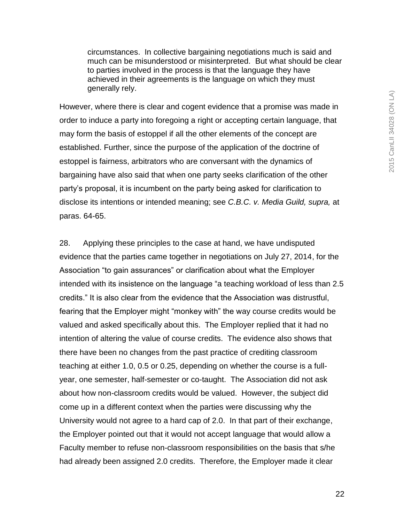circumstances. In collective bargaining negotiations much is said and much can be misunderstood or misinterpreted. But what should be clear to parties involved in the process is that the language they have achieved in their agreements is the language on which they must generally rely.

However, where there is clear and cogent evidence that a promise was made in order to induce a party into foregoing a right or accepting certain language, that may form the basis of estoppel if all the other elements of the concept are established. Further, since the purpose of the application of the doctrine of estoppel is fairness, arbitrators who are conversant with the dynamics of bargaining have also said that when one party seeks clarification of the other party"s proposal, it is incumbent on the party being asked for clarification to disclose its intentions or intended meaning; see *C.B.C. v. Media Guild, supra,* at paras. 64-65.

28. Applying these principles to the case at hand, we have undisputed evidence that the parties came together in negotiations on July 27, 2014, for the Association "to gain assurances" or clarification about what the Employer intended with its insistence on the language "a teaching workload of less than 2.5 credits." It is also clear from the evidence that the Association was distrustful, fearing that the Employer might "monkey with" the way course credits would be valued and asked specifically about this. The Employer replied that it had no intention of altering the value of course credits. The evidence also shows that there have been no changes from the past practice of crediting classroom teaching at either 1.0, 0.5 or 0.25, depending on whether the course is a fullyear, one semester, half-semester or co-taught. The Association did not ask about how non-classroom credits would be valued. However, the subject did come up in a different context when the parties were discussing why the University would not agree to a hard cap of 2.0. In that part of their exchange, the Employer pointed out that it would not accept language that would allow a Faculty member to refuse non-classroom responsibilities on the basis that s/he had already been assigned 2.0 credits. Therefore, the Employer made it clear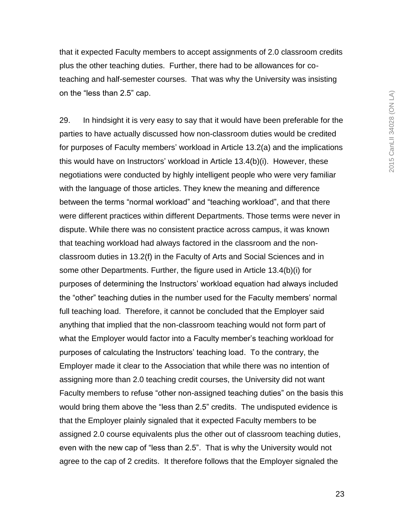that it expected Faculty members to accept assignments of 2.0 classroom credits plus the other teaching duties. Further, there had to be allowances for coteaching and half-semester courses. That was why the University was insisting on the "less than 2.5" cap.

29. In hindsight it is very easy to say that it would have been preferable for the parties to have actually discussed how non-classroom duties would be credited for purposes of Faculty members' workload in Article 13.2(a) and the implications this would have on Instructors" workload in Article 13.4(b)(i). However, these negotiations were conducted by highly intelligent people who were very familiar with the language of those articles. They knew the meaning and difference between the terms "normal workload" and "teaching workload", and that there were different practices within different Departments. Those terms were never in dispute. While there was no consistent practice across campus, it was known that teaching workload had always factored in the classroom and the nonclassroom duties in 13.2(f) in the Faculty of Arts and Social Sciences and in some other Departments. Further, the figure used in Article 13.4(b)(i) for purposes of determining the Instructors" workload equation had always included the "other" teaching duties in the number used for the Faculty members" normal full teaching load. Therefore, it cannot be concluded that the Employer said anything that implied that the non-classroom teaching would not form part of what the Employer would factor into a Faculty member's teaching workload for purposes of calculating the Instructors" teaching load. To the contrary, the Employer made it clear to the Association that while there was no intention of assigning more than 2.0 teaching credit courses, the University did not want Faculty members to refuse "other non-assigned teaching duties" on the basis this would bring them above the "less than 2.5" credits. The undisputed evidence is that the Employer plainly signaled that it expected Faculty members to be assigned 2.0 course equivalents plus the other out of classroom teaching duties, even with the new cap of "less than 2.5". That is why the University would not agree to the cap of 2 credits. It therefore follows that the Employer signaled the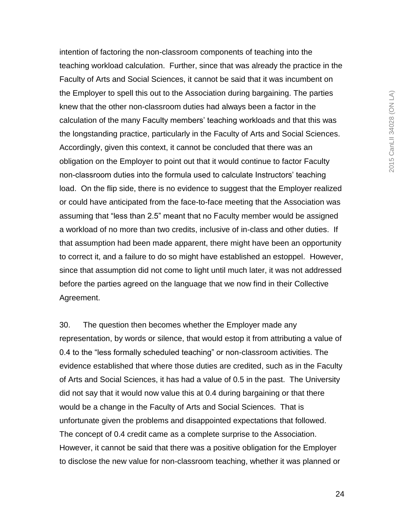intention of factoring the non-classroom components of teaching into the teaching workload calculation. Further, since that was already the practice in the Faculty of Arts and Social Sciences, it cannot be said that it was incumbent on the Employer to spell this out to the Association during bargaining. The parties knew that the other non-classroom duties had always been a factor in the calculation of the many Faculty members" teaching workloads and that this was the longstanding practice, particularly in the Faculty of Arts and Social Sciences. Accordingly, given this context, it cannot be concluded that there was an obligation on the Employer to point out that it would continue to factor Faculty non-classroom duties into the formula used to calculate Instructors" teaching load. On the flip side, there is no evidence to suggest that the Employer realized or could have anticipated from the face-to-face meeting that the Association was assuming that "less than 2.5" meant that no Faculty member would be assigned a workload of no more than two credits, inclusive of in-class and other duties. If that assumption had been made apparent, there might have been an opportunity to correct it, and a failure to do so might have established an estoppel. However, since that assumption did not come to light until much later, it was not addressed before the parties agreed on the language that we now find in their Collective Agreement.

30. The question then becomes whether the Employer made any representation, by words or silence, that would estop it from attributing a value of 0.4 to the "less formally scheduled teaching" or non-classroom activities. The evidence established that where those duties are credited, such as in the Faculty of Arts and Social Sciences, it has had a value of 0.5 in the past. The University did not say that it would now value this at 0.4 during bargaining or that there would be a change in the Faculty of Arts and Social Sciences. That is unfortunate given the problems and disappointed expectations that followed. The concept of 0.4 credit came as a complete surprise to the Association. However, it cannot be said that there was a positive obligation for the Employer to disclose the new value for non-classroom teaching, whether it was planned or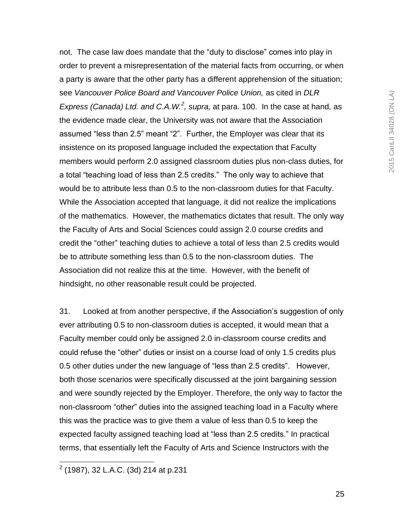not. The case law does mandate that the "duty to disclose" comes into play in order to prevent a misrepresentation of the material facts from occurring, or when a party is aware that the other party has a different apprehension of the situation; see *Vancouver Police Board and Vancouver Police Union,* as cited in *DLR Express (Canada) Ltd. and C.A.W.<sup>2</sup> , supra,* at para. 100. In the case at hand, as the evidence made clear, the University was not aware that the Association assumed "less than 2.5" meant "2". Further, the Employer was clear that its insistence on its proposed language included the expectation that Faculty members would perform 2.0 assigned classroom duties plus non-class duties, for a total "teaching load of less than 2.5 credits." The only way to achieve that would be to attribute less than 0.5 to the non-classroom duties for that Faculty. While the Association accepted that language, it did not realize the implications of the mathematics. However, the mathematics dictates that result. The only way the Faculty of Arts and Social Sciences could assign 2.0 course credits and credit the "other" teaching duties to achieve a total of less than 2.5 credits would be to attribute something less than 0.5 to the non-classroom duties. The Association did not realize this at the time. However, with the benefit of hindsight, no other reasonable result could be projected.

31. Looked at from another perspective, if the Association"s suggestion of only ever attributing 0.5 to non-classroom duties is accepted, it would mean that a Faculty member could only be assigned 2.0 in-classroom course credits and could refuse the "other" duties or insist on a course load of only 1.5 credits plus 0.5 other duties under the new language of "less than 2.5 credits". However, both those scenarios were specifically discussed at the joint bargaining session and were soundly rejected by the Employer. Therefore, the only way to factor the non-classroom "other" duties into the assigned teaching load in a Faculty where this was the practice was to give them a value of less than 0.5 to keep the expected faculty assigned teaching load at "less than 2.5 credits." In practical terms, that essentially left the Faculty of Arts and Science Instructors with the

 2 (1987), 32 L.A.C. (3d) 214 at p.231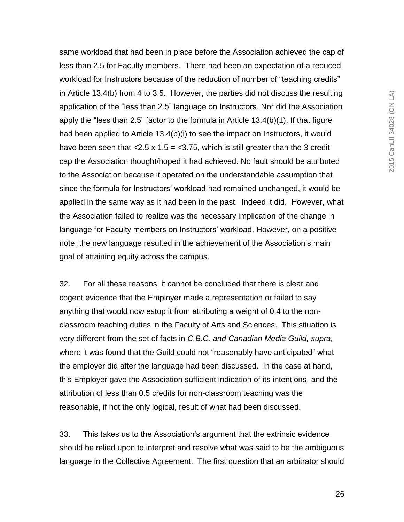same workload that had been in place before the Association achieved the cap of less than 2.5 for Faculty members. There had been an expectation of a reduced workload for Instructors because of the reduction of number of "teaching credits" in Article 13.4(b) from 4 to 3.5. However, the parties did not discuss the resulting application of the "less than 2.5" language on Instructors. Nor did the Association apply the "less than 2.5" factor to the formula in Article 13.4(b)(1). If that figure had been applied to Article 13.4(b)(i) to see the impact on Instructors, it would have been seen that  $< 2.5 \times 1.5 = < 3.75$ , which is still greater than the 3 credit cap the Association thought/hoped it had achieved. No fault should be attributed to the Association because it operated on the understandable assumption that since the formula for Instructors' workload had remained unchanged, it would be applied in the same way as it had been in the past. Indeed it did. However, what the Association failed to realize was the necessary implication of the change in language for Faculty members on Instructors" workload. However, on a positive note, the new language resulted in the achievement of the Association"s main goal of attaining equity across the campus.

32. For all these reasons, it cannot be concluded that there is clear and cogent evidence that the Employer made a representation or failed to say anything that would now estop it from attributing a weight of 0.4 to the nonclassroom teaching duties in the Faculty of Arts and Sciences. This situation is very different from the set of facts in *C.B.C. and Canadian Media Guild, supra,* where it was found that the Guild could not "reasonably have anticipated" what the employer did after the language had been discussed. In the case at hand, this Employer gave the Association sufficient indication of its intentions, and the attribution of less than 0.5 credits for non-classroom teaching was the reasonable, if not the only logical, result of what had been discussed.

33. This takes us to the Association"s argument that the extrinsic evidence should be relied upon to interpret and resolve what was said to be the ambiguous language in the Collective Agreement. The first question that an arbitrator should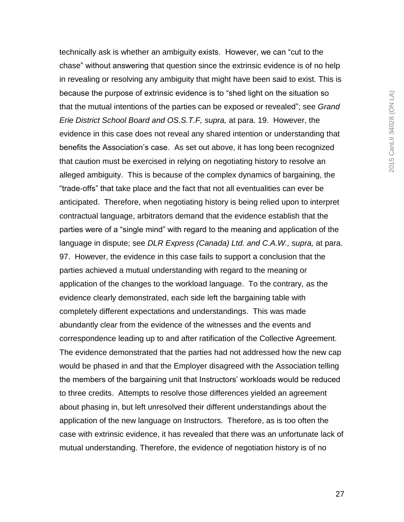technically ask is whether an ambiguity exists. However, we can "cut to the chase" without answering that question since the extrinsic evidence is of no help in revealing or resolving any ambiguity that might have been said to exist. This is because the purpose of extrinsic evidence is to "shed light on the situation so that the mutual intentions of the parties can be exposed or revealed"; see *Grand Erie District School Board and OS.S.T.F, supra,* at para. 19. However, the evidence in this case does not reveal any shared intention or understanding that benefits the Association"s case. As set out above, it has long been recognized that caution must be exercised in relying on negotiating history to resolve an alleged ambiguity. This is because of the complex dynamics of bargaining, the "trade-offs" that take place and the fact that not all eventualities can ever be anticipated. Therefore, when negotiating history is being relied upon to interpret contractual language, arbitrators demand that the evidence establish that the parties were of a "single mind" with regard to the meaning and application of the language in dispute; see *DLR Express (Canada) Ltd. and C.A.W., supra,* at para. 97. However, the evidence in this case fails to support a conclusion that the parties achieved a mutual understanding with regard to the meaning or application of the changes to the workload language. To the contrary, as the evidence clearly demonstrated, each side left the bargaining table with completely different expectations and understandings. This was made abundantly clear from the evidence of the witnesses and the events and correspondence leading up to and after ratification of the Collective Agreement. The evidence demonstrated that the parties had not addressed how the new cap would be phased in and that the Employer disagreed with the Association telling the members of the bargaining unit that Instructors' workloads would be reduced to three credits. Attempts to resolve those differences yielded an agreement about phasing in, but left unresolved their different understandings about the application of the new language on Instructors. Therefore, as is too often the case with extrinsic evidence, it has revealed that there was an unfortunate lack of mutual understanding. Therefore, the evidence of negotiation history is of no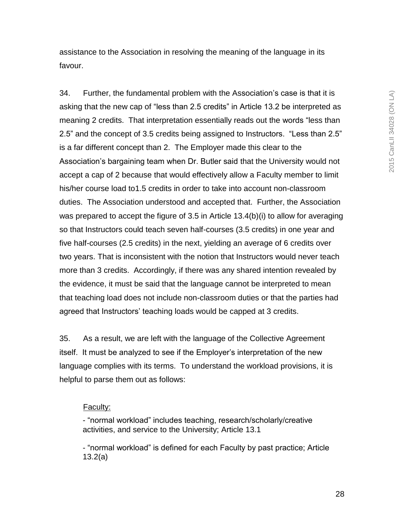assistance to the Association in resolving the meaning of the language in its favour.

34. Further, the fundamental problem with the Association"s case is that it is asking that the new cap of "less than 2.5 credits" in Article 13.2 be interpreted as meaning 2 credits. That interpretation essentially reads out the words "less than 2.5" and the concept of 3.5 credits being assigned to Instructors. "Less than 2.5" is a far different concept than 2. The Employer made this clear to the Association"s bargaining team when Dr. Butler said that the University would not accept a cap of 2 because that would effectively allow a Faculty member to limit his/her course load to1.5 credits in order to take into account non-classroom duties. The Association understood and accepted that. Further, the Association was prepared to accept the figure of 3.5 in Article 13.4(b)(i) to allow for averaging so that Instructors could teach seven half-courses (3.5 credits) in one year and five half-courses (2.5 credits) in the next, yielding an average of 6 credits over two years. That is inconsistent with the notion that Instructors would never teach more than 3 credits. Accordingly, if there was any shared intention revealed by the evidence, it must be said that the language cannot be interpreted to mean that teaching load does not include non-classroom duties or that the parties had agreed that Instructors' teaching loads would be capped at 3 credits.

35. As a result, we are left with the language of the Collective Agreement itself. It must be analyzed to see if the Employer"s interpretation of the new language complies with its terms. To understand the workload provisions, it is helpful to parse them out as follows:

#### Faculty:

- "normal workload" includes teaching, research/scholarly/creative activities, and service to the University; Article 13.1

- "normal workload" is defined for each Faculty by past practice; Article 13.2(a)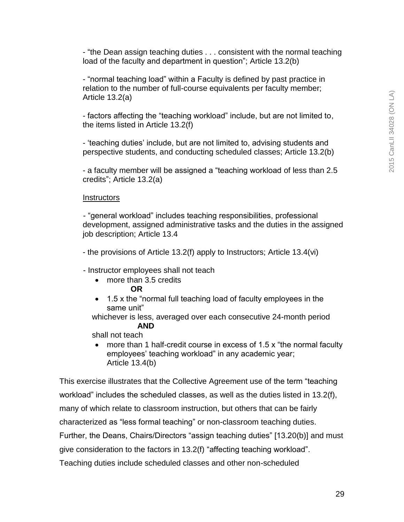- "the Dean assign teaching duties . . . consistent with the normal teaching load of the faculty and department in question"; Article 13.2(b)

- "normal teaching load" within a Faculty is defined by past practice in relation to the number of full-course equivalents per faculty member; Article 13.2(a)

- factors affecting the "teaching workload" include, but are not limited to, the items listed in Article 13.2(f)

- "teaching duties" include, but are not limited to, advising students and perspective students, and conducting scheduled classes; Article 13.2(b)

- a faculty member will be assigned a "teaching workload of less than 2.5 credits"; Article 13.2(a)

#### **Instructors**

- "general workload" includes teaching responsibilities, professional development, assigned administrative tasks and the duties in the assigned job description; Article 13.4

- the provisions of Article 13.2(f) apply to Instructors; Article 13.4(vi)

- Instructor employees shall not teach
	- more than 3.5 credits
		- **OR**
	- 1.5 x the "normal full teaching load of faculty employees in the same unit"

 whichever is less, averaged over each consecutive 24-month period  **AND**

shall not teach

• more than 1 half-credit course in excess of 1.5 x "the normal faculty employees' teaching workload" in any academic year; Article 13.4(b)

This exercise illustrates that the Collective Agreement use of the term "teaching workload" includes the scheduled classes, as well as the duties listed in 13.2(f), many of which relate to classroom instruction, but others that can be fairly characterized as "less formal teaching" or non-classroom teaching duties. Further, the Deans, Chairs/Directors "assign teaching duties" [13.20(b)] and must give consideration to the factors in 13.2(f) "affecting teaching workload". Teaching duties include scheduled classes and other non-scheduled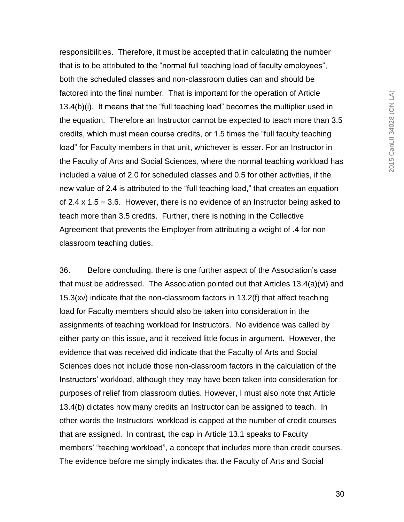responsibilities. Therefore, it must be accepted that in calculating the number that is to be attributed to the "normal full teaching load of faculty employees", both the scheduled classes and non-classroom duties can and should be factored into the final number. That is important for the operation of Article 13.4(b)(i). It means that the "full teaching load" becomes the multiplier used in the equation. Therefore an Instructor cannot be expected to teach more than 3.5 credits, which must mean course credits, or 1.5 times the "full faculty teaching load" for Faculty members in that unit, whichever is lesser. For an Instructor in the Faculty of Arts and Social Sciences, where the normal teaching workload has included a value of 2.0 for scheduled classes and 0.5 for other activities, if the new value of 2.4 is attributed to the "full teaching load," that creates an equation of 2.4  $\times$  1.5 = 3.6. However, there is no evidence of an Instructor being asked to teach more than 3.5 credits. Further, there is nothing in the Collective Agreement that prevents the Employer from attributing a weight of .4 for nonclassroom teaching duties.

36. Before concluding, there is one further aspect of the Association"s case that must be addressed. The Association pointed out that Articles 13.4(a)(vi) and 15.3(xv) indicate that the non-classroom factors in 13.2(f) that affect teaching load for Faculty members should also be taken into consideration in the assignments of teaching workload for Instructors. No evidence was called by either party on this issue, and it received little focus in argument. However, the evidence that was received did indicate that the Faculty of Arts and Social Sciences does not include those non-classroom factors in the calculation of the Instructors" workload, although they may have been taken into consideration for purposes of relief from classroom duties. However, I must also note that Article 13.4(b) dictates how many credits an Instructor can be assigned to teach. In other words the Instructors" workload is capped at the number of credit courses that are assigned. In contrast, the cap in Article 13.1 speaks to Faculty members' "teaching workload", a concept that includes more than credit courses. The evidence before me simply indicates that the Faculty of Arts and Social